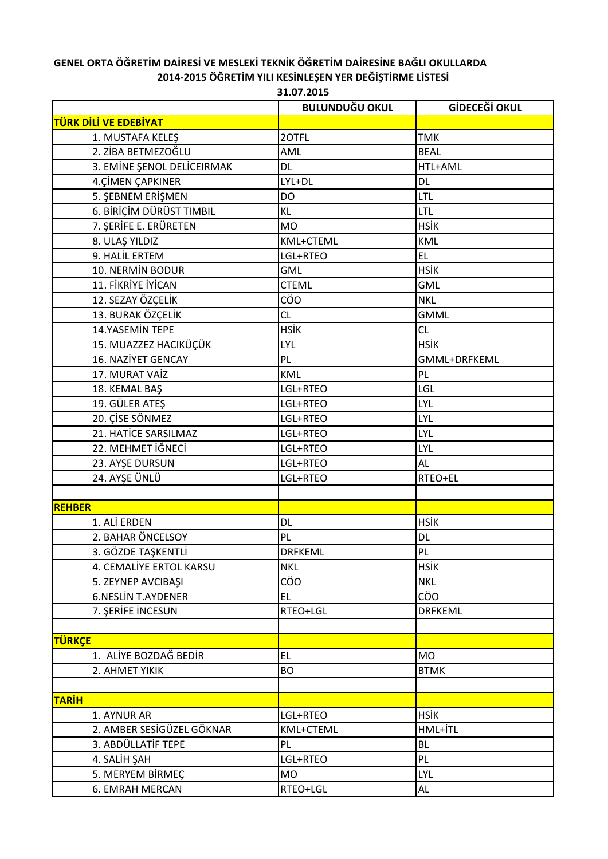## **GENEL ORTA ÖĞRETİM DAİRESİ VE MESLEKİ TEKNİK ÖĞRETİM DAİRESİNE BAĞLI OKULLARDA 2014-2015 ÖĞRETİM YILI KESİNLEŞEN YER DEĞİŞTİRME LİSTESİ**

|                            | <b>BULUNDUĞU OKUL</b> | GİDECEĞİ OKUL  |  |
|----------------------------|-----------------------|----------------|--|
| TÜRK DİLİ VE EDEBİYAT      |                       |                |  |
| 1. MUSTAFA KELEŞ           | 20TFL<br><b>TMK</b>   |                |  |
| 2. ZİBA BETMEZOĞLU         | AML                   | <b>BEAL</b>    |  |
| 3. EMİNE ŞENOL DELİCEIRMAK | <b>DL</b>             | HTL+AML        |  |
| <b>4.CİMEN ÇAPKINER</b>    | LYL+DL<br>DL          |                |  |
| 5. ŞEBNEM ERİŞMEN          | <b>DO</b>             | LTL            |  |
| 6. BİRİÇİM DÜRÜST TIMBIL   | <b>KL</b>             | <b>LTL</b>     |  |
| 7. SERİFE E. ERÜRETEN      | <b>MO</b>             | <b>HSİK</b>    |  |
| 8. ULAŞ YILDIZ             | KML+CTEML             | KML            |  |
| 9. HALİL ERTEM             | LGL+RTEO              | EL.            |  |
| 10. NERMİN BODUR           | <b>GML</b>            | <b>HSİK</b>    |  |
| 11. FİKRİYE İYİCAN         | <b>CTEML</b>          | GML            |  |
| 12. SEZAY ÖZÇELİK          | CÖO                   | <b>NKL</b>     |  |
| 13. BURAK ÖZÇELİK          | CL                    | <b>GMML</b>    |  |
| <b>14.YASEMİN TEPE</b>     | <b>HSİK</b>           | CL             |  |
| 15. MUAZZEZ HACIKÜÇÜK      | LYL                   | <b>HSİK</b>    |  |
| 16. NAZİYET GENCAY         | PL                    | GMML+DRFKEML   |  |
| 17. MURAT VAİZ             | <b>KML</b>            | PL             |  |
| 18. KEMAL BAŞ              | LGL+RTEO              | LGL            |  |
| 19. GÜLER ATEŞ             | LGL+RTEO              | LYL            |  |
| 20. ÇİSE SÖNMEZ            | LGL+RTEO              | LYL            |  |
| 21. HATİCE SARSILMAZ       | LGL+RTEO              | LYL            |  |
| 22. MEHMET İĞNECİ          | LGL+RTEO              | LYL            |  |
| 23. AYŞE DURSUN            | LGL+RTEO              | AL             |  |
| 24. AYŞE ÜNLÜ              | LGL+RTEO              | RTEO+EL        |  |
|                            |                       |                |  |
| <b>REHBER</b>              |                       |                |  |
| 1. ALİ ERDEN               | <b>DL</b>             | <b>HSİK</b>    |  |
| 2. BAHAR ÖNCELSOY          | PL                    | DL             |  |
| 3. GÖZDE TAŞKENTLİ         | <b>DRFKEML</b>        | PL             |  |
| 4. CEMALIYE ERTOL KARSU    | NKL                   | <b>HSİK</b>    |  |
| 5. ZEYNEP AVCIBAŞI         | CÖO                   | <b>NKL</b>     |  |
| <b>6.NESLİN T.AYDENER</b>  | EL.                   | CÖO            |  |
| 7. ŞERİFE İNCESUN          | RTEO+LGL              | <b>DRFKEML</b> |  |
|                            |                       |                |  |
| <b>TÜRKÇE</b>              |                       |                |  |

1. ALİYE BOZDAĞ BEDİR EL EL MO 2. AHMET YIKIK BO BO BTMK

1. AYNUR AR LGL+RTEO HSİK 2. AMBER SESİGÜZEL GÖKNAR KML+CTEML KML+CTEML 3. ABDÜLLATİF TEPE PL PL PL PL BL 4. SALİH ŞAH  $\vert$ LGL+RTEO PL 5. MERYEM BİRMEÇ MO MO NAVE | LYL 6. EMRAH MERCAN RTEO+LGL AL

**TARİH**

**31.07.2015**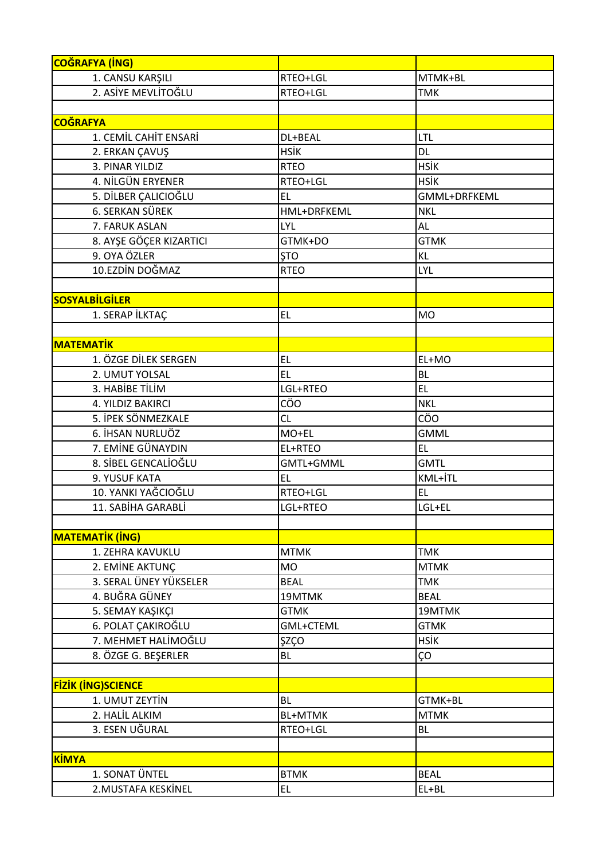| <b>COĞRAFYA (İNG)</b>     |                |              |
|---------------------------|----------------|--------------|
| 1. CANSU KARŞILI          | RTEO+LGL       | MTMK+BL      |
| 2. ASİYE MEVLİTOĞLU       | RTEO+LGL       | <b>TMK</b>   |
|                           |                |              |
| <b>COĞRAFYA</b>           |                |              |
| 1. CEMİL CAHİT ENSARİ     | DL+BEAL        | LTL          |
| 2. ERKAN ÇAVUŞ            | <b>HSİK</b>    | <b>DL</b>    |
| 3. PINAR YILDIZ           | <b>RTEO</b>    | <b>HSİK</b>  |
| 4. NİLGÜN ERYENER         | RTEO+LGL       | <b>HSİK</b>  |
| 5. DİLBER ÇALICIOĞLU      | EL             | GMML+DRFKEML |
| <b>6. SERKAN SÜREK</b>    | HML+DRFKEML    | <b>NKL</b>   |
| 7. FARUK ASLAN            | LYL            | <b>AL</b>    |
| 8. AYŞE GÖÇER KIZARTICI   | GTMK+DO        | <b>GTMK</b>  |
| 9. OYA ÖZLER              | <b>STO</b>     | <b>KL</b>    |
| 10.EZDİN DOĞMAZ           | <b>RTEO</b>    | LYL          |
|                           |                |              |
| <b>SOSYALBİLGİLER</b>     |                |              |
| 1. SERAP İLKTAÇ           | <b>EL</b>      | <b>MO</b>    |
|                           |                |              |
| <b>MATEMATIK</b>          |                |              |
| 1. ÖZGE DİLEK SERGEN      | EL             | EL+MO        |
| 2. UMUT YOLSAL            | <b>EL</b>      | <b>BL</b>    |
| 3. HABİBE TİLİM           | LGL+RTEO       | <b>EL</b>    |
| 4. YILDIZ BAKIRCI         | CÖO            | <b>NKL</b>   |
| 5. İPEK SÖNMEZKALE        | CL             | CÖO          |
| 6. İHSAN NURLUÖZ          | MO+EL          | <b>GMML</b>  |
| 7. EMİNE GÜNAYDIN         | EL+RTEO        | <b>EL</b>    |
| 8. SİBEL GENCALİOĞLU      | GMTL+GMML      | <b>GMTL</b>  |
| 9. YUSUF KATA             | <b>EL</b>      | KML+İTL      |
| 10. YANKI YAĞCIOĞLU       | RTEO+LGL       | <b>EL</b>    |
| 11. SABİHA GARABLİ        | LGL+RTEO       | LGL+EL       |
|                           |                |              |
| <b>MATEMATİK (İNG)</b>    |                |              |
| 1. ZEHRA KAVUKLU          | <b>MTMK</b>    | <b>TMK</b>   |
| 2. EMİNE AKTUNÇ           | <b>MO</b>      | <b>MTMK</b>  |
| 3. SERAL ÜNEY YÜKSELER    | <b>BEAL</b>    | <b>TMK</b>   |
| 4. BUĞRA GÜNEY            | 19MTMK         | <b>BEAL</b>  |
| 5. SEMAY KAŞIKÇI          | <b>GTMK</b>    | 19MTMK       |
| 6. POLAT ÇAKIROĞLU        | GML+CTEML      | <b>GTMK</b>  |
| 7. MEHMET HALİMOĞLU       | <b>ŞZÇO</b>    | <b>HSİK</b>  |
| 8. ÖZGE G. BEŞERLER       | <b>BL</b>      | ÇO           |
|                           |                |              |
| <b>FİZİK (İNG)SCIENCE</b> |                |              |
| 1. UMUT ZEYTİN            | <b>BL</b>      | GTMK+BL      |
| 2. HALİL ALKIM            | <b>BL+MTMK</b> | <b>MTMK</b>  |
| 3. ESEN UĞURAL            | RTEO+LGL       | <b>BL</b>    |
|                           |                |              |
| <b>KİMYA</b>              |                |              |
| 1. SONAT ÜNTEL            | <b>BTMK</b>    | <b>BEAL</b>  |
| 2. MUSTAFA KESKİNEL       | <b>EL</b>      | EL+BL        |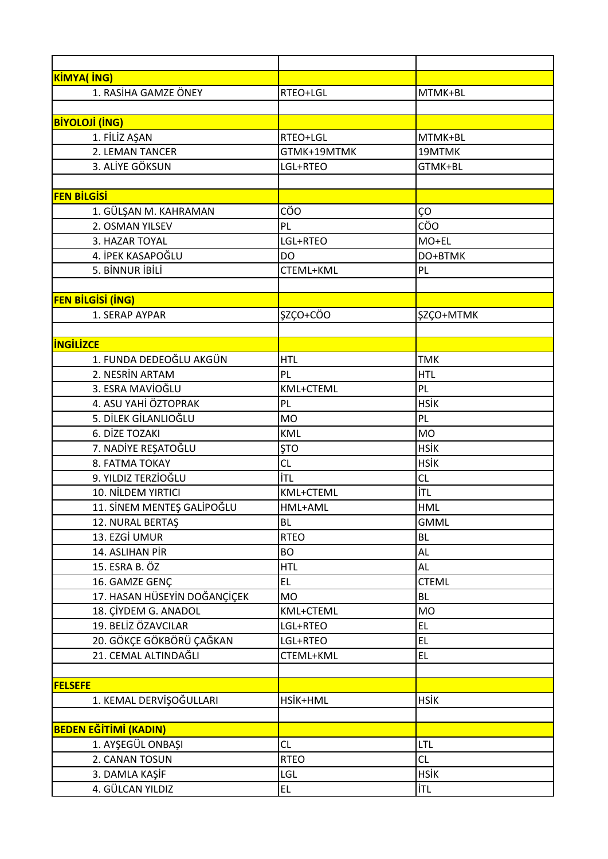| KIMYA( ING)                  |             |              |
|------------------------------|-------------|--------------|
| 1. RASİHA GAMZE ÖNEY         | RTEO+LGL    | MTMK+BL      |
|                              |             |              |
| <b>BİYOLOJİ (İNG)</b>        |             |              |
| 1. FİLİZ AŞAN                | RTEO+LGL    | MTMK+BL      |
| 2. LEMAN TANCER              | GTMK+19MTMK | 19MTMK       |
| 3. ALİYE GÖKSUN              | LGL+RTEO    | GTMK+BL      |
|                              |             |              |
| <b>FEN BİLGİSİ</b>           |             |              |
| 1. GÜLŞAN M. KAHRAMAN        | CÖO         | ÇO           |
| 2. OSMAN YILSEV              | PL          | CÖO          |
| 3. HAZAR TOYAL               | LGL+RTEO    | MO+EL        |
| 4. İPEK KASAPOĞLU            | <b>DO</b>   | DO+BTMK      |
| 5. BİNNUR İBİLİ              | CTEML+KML   | PL           |
|                              |             |              |
| <b>FEN BİLGİSİ (İNG)</b>     |             |              |
| 1. SERAP AYPAR               | ŞZÇO+CÖO    | ŞZÇO+MTMK    |
|                              |             |              |
| <b>INGILIZCE</b>             |             |              |
| 1. FUNDA DEDEOĞLU AKGÜN      | <b>HTL</b>  | <b>TMK</b>   |
| 2. NESRİN ARTAM              | PL          | <b>HTL</b>   |
| 3. ESRA MAVIOĞLU             | KML+CTEML   | PL           |
| 4. ASU YAHİ ÖZTOPRAK         | PL          | <b>HSİK</b>  |
| 5. DİLEK GİLANLIOĞLU         | <b>MO</b>   | PL           |
| 6. DİZE TOZAKI               | KML         | <b>MO</b>    |
| 7. NADİYE REŞATOĞLU          | <b>ŞTO</b>  | <b>HSİK</b>  |
| 8. FATMA TOKAY               | CL          | <b>HSİK</b>  |
| 9. YILDIZ TERZİOĞLU          | İTL         | <b>CL</b>    |
| 10. NİLDEM YIRTICI           | KML+CTEML   | İTL          |
| 11. SİNEM MENTEŞ GALİPOĞLU   | HML+AML     | <b>HML</b>   |
| 12. NURAL BERTAŞ             | <b>BL</b>   | <b>GMML</b>  |
| 13. EZGİ UMUR                | <b>RTEO</b> | <b>BL</b>    |
| 14. ASLIHAN PİR              | <b>BO</b>   | <b>AL</b>    |
| 15. ESRA B. ÖZ               | <b>HTL</b>  | <b>AL</b>    |
| 16. GAMZE GENÇ               | <b>EL</b>   | <b>CTEML</b> |
| 17. HASAN HÜSEYİN DOĞANÇİÇEK | <b>MO</b>   | <b>BL</b>    |
| 18. ÇİYDEM G. ANADOL         | KML+CTEML   | <b>MO</b>    |
| 19. BELİZ ÖZAVCILAR          | LGL+RTEO    | EL.          |
| 20. GÖKÇE GÖKBÖRÜ ÇAĞKAN     | LGL+RTEO    | EL.          |
| 21. CEMAL ALTINDAĞLI         | CTEML+KML   | EL.          |
|                              |             |              |
| <b>FELSEFE</b>               |             |              |
| 1. KEMAL DERVİŞOĞULLARI      | HSİK+HML    | <b>HSİK</b>  |
|                              |             |              |
| <b>BEDEN EĞİTİMİ (KADIN)</b> |             |              |
| 1. AYŞEGÜL ONBAŞI            | CL          | <b>LTL</b>   |
| 2. CANAN TOSUN               | <b>RTEO</b> | <b>CL</b>    |
| 3. DAMLA KAŞİF               | LGL         | <b>HSİK</b>  |
| 4. GÜLCAN YILDIZ             | EL.         | İTL          |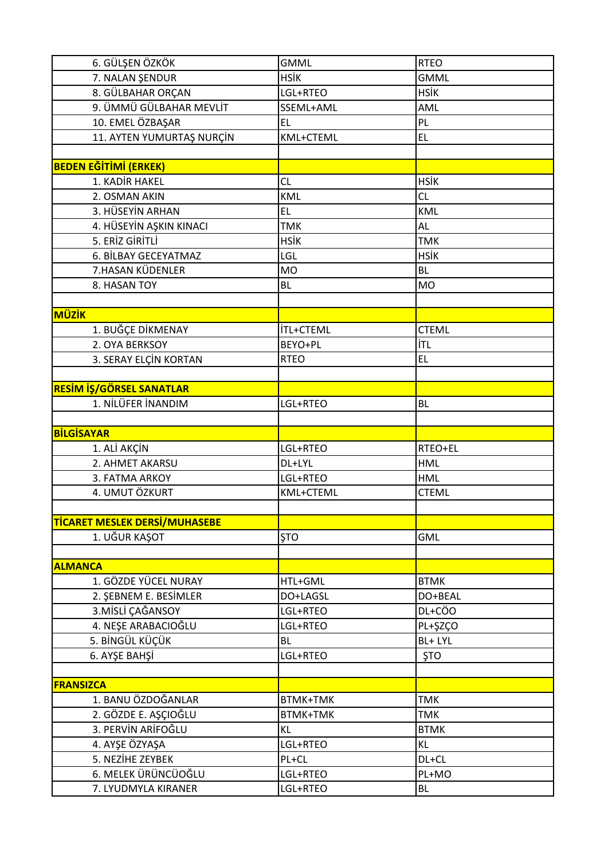| 6. GÜLŞEN ÖZKÖK                            | <b>GMML</b>          | <b>RTEO</b>        |
|--------------------------------------------|----------------------|--------------------|
| 7. NALAN ŞENDUR                            | <b>HSİK</b>          | <b>GMML</b>        |
| 8. GÜLBAHAR ORÇAN                          | LGL+RTEO             | <b>HSİK</b>        |
| 9. ÜMMÜ GÜLBAHAR MEVLİT                    | SSEML+AML            | AML                |
| 10. EMEL ÖZBAŞAR                           | <b>EL</b>            | PL                 |
| 11. AYTEN YUMURTAŞ NURÇİN                  | KML+CTEML            | EL.                |
|                                            |                      |                    |
| <b>BEDEN EĞİTİMİ (ERKEK)</b>               |                      |                    |
| 1. KADİR HAKEL                             | CL                   | <b>HSİK</b>        |
| 2. OSMAN AKIN                              | <b>KML</b>           | CL                 |
| 3. HÜSEYİN ARHAN                           | <b>EL</b>            | KML                |
| 4. HÜSEYİN AŞKIN KINACI                    | <b>TMK</b>           | <b>AL</b>          |
| 5. ERİZ GİRİTLİ                            | <b>HSİK</b>          | <b>TMK</b>         |
| 6. BİLBAY GECEYATMAZ                       | LGL                  | <b>HSİK</b>        |
| 7.HASAN KÜDENLER                           | <b>MO</b>            | <b>BL</b>          |
| 8. HASAN TOY                               | <b>BL</b>            | <b>MO</b>          |
|                                            |                      |                    |
| MÜZİK                                      |                      |                    |
| 1. BUĞÇE DİKMENAY                          | <b>İTL+CTEML</b>     | <b>CTEML</b>       |
| 2. OYA BERKSOY                             | BEYO+PL              | İTL                |
| 3. SERAY ELÇİN KORTAN                      | <b>RTEO</b>          | EL.                |
|                                            |                      |                    |
| <b>RESİM İŞ/GÖRSEL SANATLAR</b>            |                      |                    |
| 1. NİLÜFER İNANDIM                         | LGL+RTEO             | <b>BL</b>          |
|                                            |                      |                    |
| <b>BİLGİSAYAR</b>                          |                      |                    |
| 1. ALİ AKÇİN                               | LGL+RTEO             | RTEO+EL            |
| 2. AHMET AKARSU                            | DL+LYL               | <b>HML</b>         |
| 3. FATMA ARKOY                             | LGL+RTEO             | <b>HML</b>         |
| 4. UMUT ÖZKURT                             | KML+CTEML            | <b>CTEML</b>       |
|                                            |                      |                    |
| <b>TİCARET MESLEK DERSİ/MUHASEBE</b>       |                      |                    |
| 1. UĞUR KAŞOT                              | <b>STO</b>           | <b>GML</b>         |
|                                            |                      |                    |
| <b>ALMANCA</b>                             |                      |                    |
| 1. GÖZDE YÜCEL NURAY                       | HTL+GML              | <b>BTMK</b>        |
| 2. ŞEBNEM E. BESİMLER                      | DO+LAGSL             | DO+BEAL            |
| 3. MİSLİ ÇAĞANSOY                          | LGL+RTEO             | DL+CÖO             |
| 4. NEŞE ARABACIOĞLU                        | LGL+RTEO             | PL+ŞZÇO            |
| 5. BİNGÜL KÜÇÜK                            | <b>BL</b>            | BL+ LYL            |
| 6. AYŞE BAHŞİ                              | LGL+RTEO             | <b>ŞTO</b>         |
|                                            |                      |                    |
| <b>FRANSIZCA</b>                           |                      |                    |
| 1. BANU ÖZDOĞANLAR                         | <b>BTMK+TMK</b>      | <b>TMK</b>         |
| 2. GÖZDE E. AŞÇIOĞLU                       | <b>BTMK+TMK</b>      | <b>TMK</b>         |
| 3. PERVIN ARIFOGLU                         | <b>KL</b>            | <b>BTMK</b>        |
| 4. AYŞE ÖZYAŞA                             | LGL+RTEO             | <b>KL</b>          |
| 5. NEZİHE ZEYBEK                           |                      |                    |
|                                            |                      |                    |
|                                            | PL+CL                | DL+CL              |
| 6. MELEK ÜRÜNCÜOĞLU<br>7. LYUDMYLA KIRANER | LGL+RTEO<br>LGL+RTEO | PL+MO<br><b>BL</b> |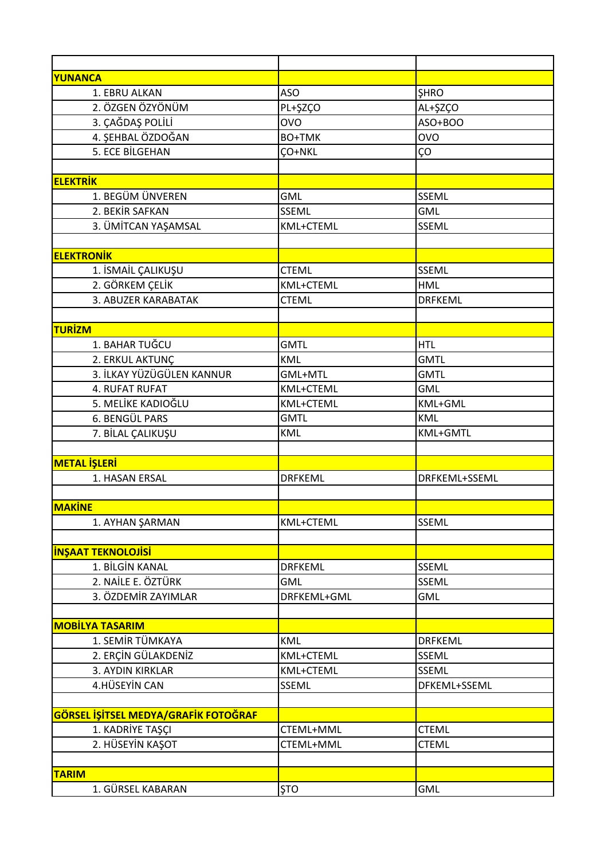| YUNANCA                              |                  |                 |
|--------------------------------------|------------------|-----------------|
| 1. EBRU ALKAN                        | <b>ASO</b>       | <b>SHRO</b>     |
| 2. ÖZGEN ÖZYÖNÜM                     | PL+ŞZÇO          | AL+ŞZÇO         |
| 3. ÇAĞDAŞ POLİLİ                     | <b>OVO</b>       | ASO+BOO         |
| 4. ŞEHBAL ÖZDOĞAN                    | <b>BO+TMK</b>    | <b>OVO</b>      |
| 5. ECE BİLGEHAN                      | <b>CO+NKL</b>    | ÇΟ              |
|                                      |                  |                 |
| <b>ELEKTRİK</b>                      |                  |                 |
| 1. BEGÜM ÜNVEREN                     | <b>GML</b>       | <b>SSEML</b>    |
| 2. BEKİR SAFKAN                      | SSEML            | <b>GML</b>      |
| 3. ÜMİTCAN YAŞAMSAL                  | KML+CTEML        | <b>SSEML</b>    |
|                                      |                  |                 |
| <b>ELEKTRONIK</b>                    |                  |                 |
| 1. İSMAİL ÇALIKUŞU                   | <b>CTEML</b>     | SSEML           |
| 2. GÖRKEM ÇELİK                      | <b>KML+CTEML</b> | <b>HML</b>      |
| 3. ABUZER KARABATAK                  | <b>CTEML</b>     | <b>DRFKEML</b>  |
|                                      |                  |                 |
| TURİZM                               |                  |                 |
| 1. BAHAR TUĞCU                       | <b>GMTL</b>      | <b>HTL</b>      |
| 2. ERKUL AKTUNÇ                      | KML              | <b>GMTL</b>     |
| 3. İLKAY YÜZÜGÜLEN KANNUR            | GML+MTL          | <b>GMTL</b>     |
| 4. RUFAT RUFAT                       | KML+CTEML        | <b>GML</b>      |
| 5. MELİKE KADIOĞLU                   | KML+CTEML        | KML+GML         |
| 6. BENGÜL PARS                       | <b>GMTL</b>      | KML             |
| 7. BİLAL ÇALIKUŞU                    | KML              | <b>KML+GMTL</b> |
|                                      |                  |                 |
| <b>METAL İŞLERİ</b>                  |                  |                 |
| 1. HASAN ERSAL                       | <b>DRFKEML</b>   | DRFKEML+SSEML   |
|                                      |                  |                 |
| <b>MAKINE</b>                        |                  |                 |
| 1. AYHAN ŞARMAN                      | KML+CTEML        | SSEML           |
|                                      |                  |                 |
| <b>INSAAT TEKNOLOJISI</b>            |                  |                 |
| 1. BİLGİN KANAL                      | <b>DRFKEML</b>   | <b>SSEML</b>    |
| 2. NAİLE E. ÖZTÜRK                   | <b>GML</b>       | <b>SSEML</b>    |
| 3. ÖZDEMİR ZAYIMLAR                  | DRFKEML+GML      | <b>GML</b>      |
|                                      |                  |                 |
| <b>MOBİLYA TASARIM</b>               |                  |                 |
| 1. SEMİR TÜMKAYA                     | <b>KML</b>       | <b>DRFKEML</b>  |
| 2. ERÇİN GÜLAKDENİZ                  | KML+CTEML        | <b>SSEML</b>    |
| 3. AYDIN KIRKLAR                     | KML+CTEML        | SSEML           |
| 4.HÜSEYİN CAN                        | SSEML            | DFKEML+SSEML    |
|                                      |                  |                 |
| GÖRSEL İŞİTSEL MEDYA/GRAFİK FOTOĞRAF |                  |                 |
| 1. KADRİYE TAŞÇI                     | CTEML+MML        | <b>CTEML</b>    |
| 2. HÜSEYİN KAŞOT                     | CTEML+MML        | <b>CTEML</b>    |
|                                      |                  |                 |
| <b>TARIM</b>                         |                  |                 |
| 1. GÜRSEL KABARAN                    | <b>ŞTO</b>       | <b>GML</b>      |